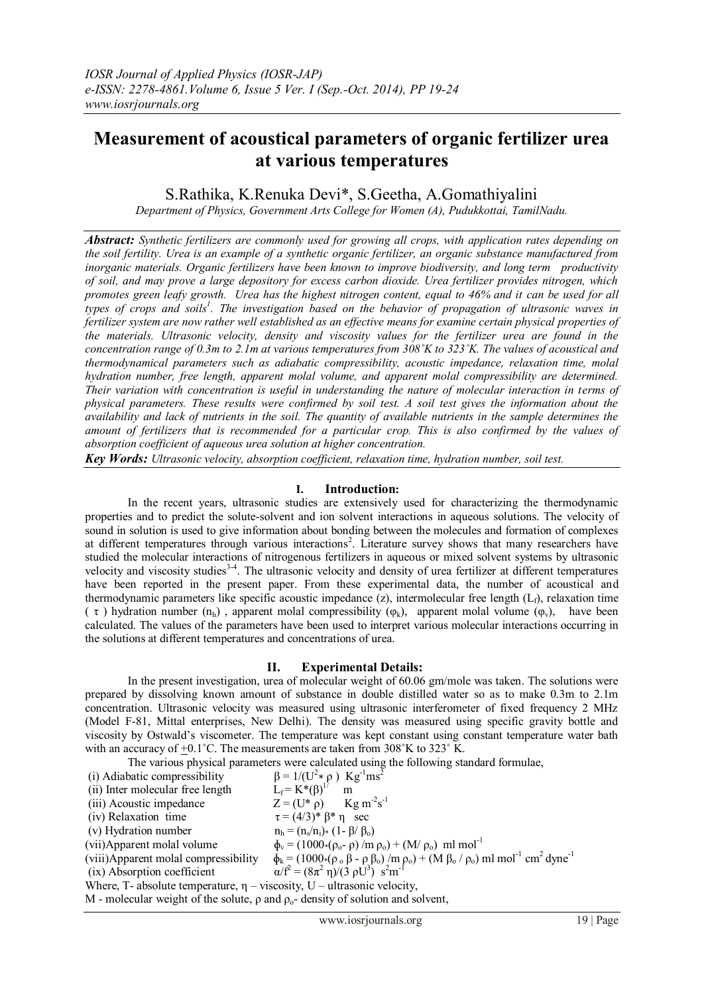# **Measurement of acoustical parameters of organic fertilizer urea at various temperatures**

# S.Rathika, K.Renuka Devi\*, S.Geetha, A.Gomathiyalini

*Department of Physics, Government Arts College for Women (A), Pudukkottai, TamilNadu.*

*Abstract: Synthetic fertilizers are commonly used for growing all crops, with application rates depending on the soil fertility. Urea is an example of a synthetic organic fertilizer, an organic substance manufactured from inorganic materials. Organic fertilizers have been known to improve biodiversity, and long term productivity of soil, and may prove a large depository for excess carbon dioxide. Urea fertilizer provides nitrogen, which promotes green leafy growth. Urea has the highest nitrogen content, equal to 46% and it can be used for all types of crops and soils<sup>1</sup> . The investigation based on the behavior of propagation of ultrasonic waves in fertilizer system are now rather well established as an effective means for examine certain physical properties of the materials. Ultrasonic velocity, density and viscosity values for the fertilizer urea are found in the concentration range of 0.3m to 2.1m at various temperatures from 308˚K to 323˚K. The values of acoustical and thermodynamical parameters such as adiabatic compressibility, acoustic impedance, relaxation time, molal hydration number, free length, apparent molal volume, and apparent molal compressibility are determined. Their variation with concentration is useful in understanding the nature of molecular interaction in terms of physical parameters. These results were confirmed by soil test. A soil test gives the information about the availability and lack of nutrients in the soil. The quantity of available nutrients in the sample determines the amount of fertilizers that is recommended for a particular crop. This is also confirmed by the values of absorption coefficient of aqueous urea solution at higher concentration.*

*Key Words: Ultrasonic velocity, absorption coefficient, relaxation time, hydration number, soil test.*

## **I. Introduction:**

In the recent years, ultrasonic studies are extensively used for characterizing the thermodynamic properties and to predict the solute-solvent and ion solvent interactions in aqueous solutions. The velocity of sound in solution is used to give information about bonding between the molecules and formation of complexes at different temperatures through various interactions<sup>2</sup>. Literature survey shows that many researchers have studied the molecular interactions of nitrogenous fertilizers in aqueous or mixed solvent systems by ultrasonic velocity and viscosity studies<sup>3-4</sup>. The ultrasonic velocity and density of urea fertilizer at different temperatures have been reported in the present paper. From these experimental data, the number of acoustical and thermodynamic parameters like specific acoustic impedance (z), intermolecular free length  $(L<sub>f</sub>)$ , relaxation time (  $\tau$  ) hydration number (n<sub>h</sub>), apparent molal compressibility ( $\varphi_k$ ), apparent molal volume ( $\varphi_v$ ), have been calculated. The values of the parameters have been used to interpret various molecular interactions occurring in the solutions at different temperatures and concentrations of urea.

# **II. Experimental Details:**

In the present investigation, urea of molecular weight of 60.06 gm/mole was taken. The solutions were prepared by dissolving known amount of substance in double distilled water so as to make 0.3m to 2.1m concentration. Ultrasonic velocity was measured using ultrasonic interferometer of fixed frequency 2 MHz (Model F-81, Mittal enterprises, New Delhi). The density was measured using specific gravity bottle and viscosity by Ostwald's viscometer. The temperature was kept constant using constant temperature water bath with an accuracy of  $+0.1^{\circ}$ C. The measurements are taken from 308 $^{\circ}$ K to 323 $^{\circ}$ K.

The various physical parameters were calculated using the following standard formulae,

 $(i)$  Adiabatic compressibility  $*\rho$ ) Kg<sup>-1</sup>ms<sup>2</sup> (ii) Inter molecular free length  $L_f = K^*(\beta)^{1/2}$ <br>(iii) Acoustic impedance  $Z = (U^* \rho)$ (iii) Acoustic impedance  $s^{-1}$ (iv) Relaxation time  $\tau = (4/3)^* \beta^* \eta$  sec  $(v)$  Hydration number<br> $(vii)$ Apparent molal volume  $n_h = (n_s/n_i)*(1-\beta/\beta_o)$ (vii)Apparent molal volume<br>
(viii)Apparent molal compressibility  $\phi_k = (1000*(\rho_o - \rho) /m \rho_o) + (M/\rho_o) m \rho_o + (M \beta_o / \rho_o) n$ (viii)Apparent molal compressibility  $\phi_k = (1000*(\rho_0 \beta - \rho \beta_0) / m \rho_0) + (M \beta_0 / \rho_0) m! \text{ mol}^{-1} \text{ cm}^2 \text{ dyne}^{-1}$  $(ix)$  Absorption coefficient =  $(8\pi^2 \eta)/(3 \rho U^3) s^2 m^{-1}$ Where, T- absolute temperature,  $\eta$  – viscosity, U – ultrasonic velocity, M - molecular weight of the solute,  $\rho$  and  $\rho_o$ - density of solution and solvent,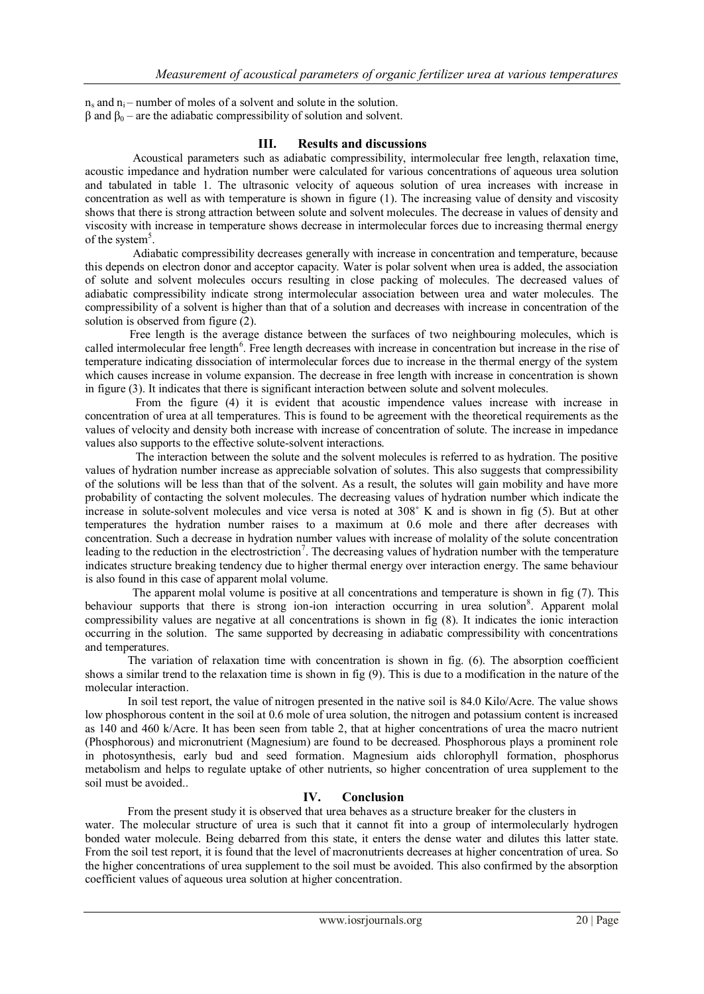$n_s$  and  $n_i$  – number of moles of a solvent and solute in the solution.  $β$  and  $β_0$  – are the adiabatic compressibility of solution and solvent.

#### **III. Results and discussions**

Acoustical parameters such as adiabatic compressibility, intermolecular free length, relaxation time, acoustic impedance and hydration number were calculated for various concentrations of aqueous urea solution and tabulated in table 1. The ultrasonic velocity of aqueous solution of urea increases with increase in concentration as well as with temperature is shown in figure (1). The increasing value of density and viscosity shows that there is strong attraction between solute and solvent molecules. The decrease in values of density and viscosity with increase in temperature shows decrease in intermolecular forces due to increasing thermal energy of the system<sup>5</sup>.

 Adiabatic compressibility decreases generally with increase in concentration and temperature, because this depends on electron donor and acceptor capacity. Water is polar solvent when urea is added, the association of solute and solvent molecules occurs resulting in close packing of molecules. The decreased values of adiabatic compressibility indicate strong intermolecular association between urea and water molecules. The compressibility of a solvent is higher than that of a solution and decreases with increase in concentration of the solution is observed from figure (2).

 Free length is the average distance between the surfaces of two neighbouring molecules, which is called intermolecular free length<sup>6</sup>. Free length decreases with increase in concentration but increase in the rise of temperature indicating dissociation of intermolecular forces due to increase in the thermal energy of the system which causes increase in volume expansion. The decrease in free length with increase in concentration is shown in figure (3). It indicates that there is significant interaction between solute and solvent molecules.

 From the figure (4) it is evident that acoustic impendence values increase with increase in concentration of urea at all temperatures. This is found to be agreement with the theoretical requirements as the values of velocity and density both increase with increase of concentration of solute. The increase in impedance values also supports to the effective solute-solvent interactions.

 The interaction between the solute and the solvent molecules is referred to as hydration. The positive values of hydration number increase as appreciable solvation of solutes. This also suggests that compressibility of the solutions will be less than that of the solvent. As a result, the solutes will gain mobility and have more probability of contacting the solvent molecules. The decreasing values of hydration number which indicate the increase in solute-solvent molecules and vice versa is noted at 308˚ K and is shown in fig (5). But at other temperatures the hydration number raises to a maximum at 0.6 mole and there after decreases with concentration. Such a decrease in hydration number values with increase of molality of the solute concentration leading to the reduction in the electrostriction<sup>7</sup>. The decreasing values of hydration number with the temperature indicates structure breaking tendency due to higher thermal energy over interaction energy. The same behaviour is also found in this case of apparent molal volume.

 The apparent molal volume is positive at all concentrations and temperature is shown in fig (7). This behaviour supports that there is strong ion-ion interaction occurring in urea solution<sup>8</sup>. Apparent molal compressibility values are negative at all concentrations is shown in fig (8). It indicates the ionic interaction occurring in the solution. The same supported by decreasing in adiabatic compressibility with concentrations and temperatures.

 The variation of relaxation time with concentration is shown in fig. (6). The absorption coefficient shows a similar trend to the relaxation time is shown in fig (9). This is due to a modification in the nature of the molecular interaction.

 In soil test report, the value of nitrogen presented in the native soil is 84.0 Kilo/Acre. The value shows low phosphorous content in the soil at 0.6 mole of urea solution, the nitrogen and potassium content is increased as 140 and 460 k/Acre. It has been seen from table 2, that at higher concentrations of urea the macro nutrient (Phosphorous) and micronutrient (Magnesium) are found to be decreased. Phosphorous plays a prominent role in photosynthesis, early bud and seed formation. Magnesium aids chlorophyll formation, phosphorus metabolism and helps to regulate uptake of other nutrients, so higher concentration of urea supplement to the soil must be avoided..

### **IV. Conclusion**

From the present study it is observed that urea behaves as a structure breaker for the clusters in water. The molecular structure of urea is such that it cannot fit into a group of intermolecularly hydrogen bonded water molecule. Being debarred from this state, it enters the dense water and dilutes this latter state. From the soil test report, it is found that the level of macronutrients decreases at higher concentration of urea. So the higher concentrations of urea supplement to the soil must be avoided. This also confirmed by the absorption coefficient values of aqueous urea solution at higher concentration.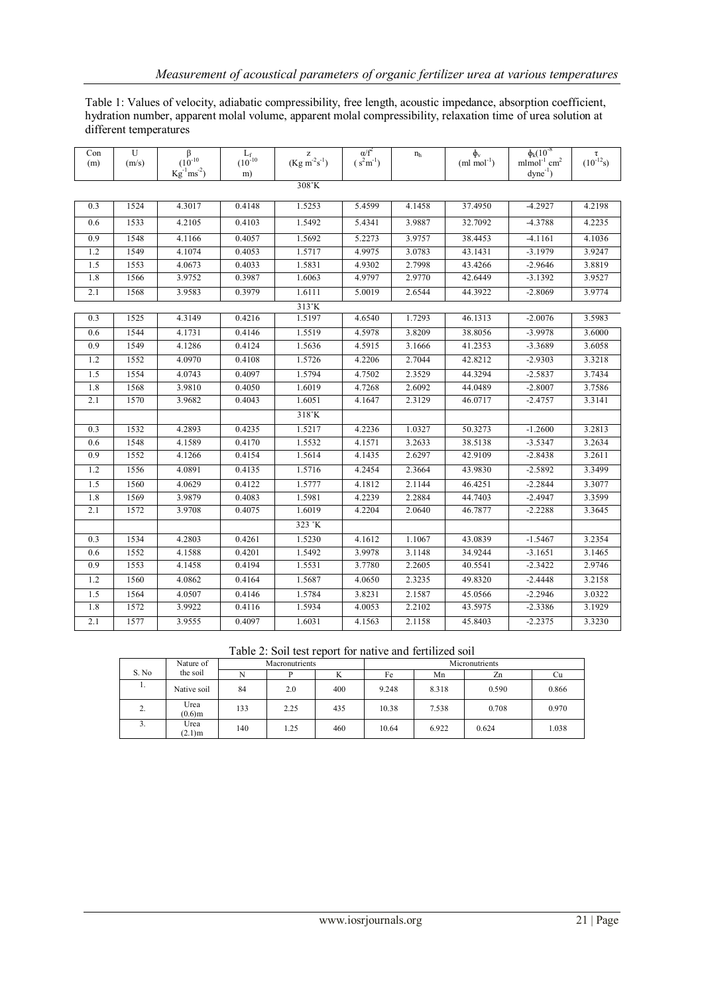Table 1: Values of velocity, adiabatic compressibility, free length, acoustic impedance, absorption coefficient, hydration number, apparent molal volume, apparent molal compressibility, relaxation time of urea solution at different temperatures

| Con<br>(m)    | U<br>(m/s) | $\begin{array}{c}\beta\\(10^{-10}\\Kg^{-1}ms^{-2})\end{array}$ | $\frac{L_{f}}{\left(10^{-10}\right.}$ | $\frac{z}{(Kg m^{-2}s^{-1})}$ | $\alpha/f^2$<br>$(s^2m^{-1})$ | $n_h$  | $\phi_{v}$<br>$(ml mol-1)$ | $\phi_k(10^{-8})$<br>$m$ lmol <sup>-1</sup> cm <sup>2</sup> | $\tau$ <sub>(10<sup>-12</sup>s)</sub> |  |  |
|---------------|------------|----------------------------------------------------------------|---------------------------------------|-------------------------------|-------------------------------|--------|----------------------------|-------------------------------------------------------------|---------------------------------------|--|--|
|               |            |                                                                | m)                                    |                               |                               |        |                            | $dyne^{-1}$                                                 |                                       |  |  |
| 308°K         |            |                                                                |                                       |                               |                               |        |                            |                                                             |                                       |  |  |
| 0.3           | 1524       | 4.3017                                                         | 0.4148                                | 1.5253                        | 5.4599                        | 4.1458 | 37.4950                    | $-4.2927$                                                   | 4.2198                                |  |  |
| 0.6           | 1533       | 4.2105                                                         | 0.4103                                | 1.5492                        | 5.4341                        | 3.9887 | 32.7092                    | $-4.3788$                                                   | 4.2235                                |  |  |
| 0.9           | 1548       | 4.1166                                                         | 0.4057                                | 1.5692                        | 5.2273                        | 3.9757 | 38.4453                    | $-4.1161$                                                   | 4.1036                                |  |  |
| 1.2           | 1549       | 4.1074                                                         | 0.4053                                | 1.5717                        | 4.9975                        | 3.0783 | 43.1431                    | $-3.1979$                                                   | 3.9247                                |  |  |
| 1.5           | 1553       | 4.0673                                                         | 0.4033                                | 1.5831                        | 4.9302                        | 2.7998 | 43.4266                    | $-2.9646$                                                   | 3.8819                                |  |  |
| 1.8           | 1566       | 3.9752                                                         | 0.3987                                | 1.6063                        | 4.9797                        | 2.9770 | 42.6449                    | $-3.1392$                                                   | 3.9527                                |  |  |
| 2.1           | 1568       | 3.9583                                                         | 0.3979                                | 1.6111                        | 5.0019                        | 2.6544 | 44.3922                    | $-2.8069$                                                   | 3.9774                                |  |  |
| $313^\circ K$ |            |                                                                |                                       |                               |                               |        |                            |                                                             |                                       |  |  |
| 0.3           | 1525       | 4.3149                                                         | 0.4216                                | 1.5197                        | 4.6540                        | 1.7293 | 46.1313                    | $-2.0076$                                                   | 3.5983                                |  |  |
| 0.6           | 1544       | 4.1731                                                         | 0.4146                                | 1.5519                        | 4.5978                        | 3.8209 | 38.8056                    | $-3.9978$                                                   | 3.6000                                |  |  |
| 0.9           | 1549       | 4.1286                                                         | 0.4124                                | 1.5636                        | 4.5915                        | 3.1666 | 41.2353                    | $-3.3689$                                                   | 3.6058                                |  |  |
| 1.2           | 1552       | 4.0970                                                         | 0.4108                                | 1.5726                        | 4.2206                        | 2.7044 | 42.8212                    | $-2.9303$                                                   | 3.3218                                |  |  |
| 1.5           | 1554       | 4.0743                                                         | 0.4097                                | 1.5794                        | 4.7502                        | 2.3529 | 44.3294                    | $-2.5837$                                                   | 3.7434                                |  |  |
| 1.8           | 1568       | 3.9810                                                         | 0.4050                                | 1.6019                        | 4.7268                        | 2.6092 | 44.0489                    | $-2.8007$                                                   | 3.7586                                |  |  |
| 2.1           | 1570       | 3.9682                                                         | 0.4043                                | 1.6051                        | 4.1647                        | 2.3129 | 46.0717                    | $-2.4757$                                                   | 3.3141                                |  |  |
|               |            |                                                                |                                       | $318^\circ K$                 |                               |        |                            |                                                             |                                       |  |  |
| 0.3           | 1532       | 4.2893                                                         | 0.4235                                | 1.5217                        | 4.2236                        | 1.0327 | 50.3273                    | $-1.2600$                                                   | 3.2813                                |  |  |
| 0.6           | 1548       | 4.1589                                                         | 0.4170                                | 1.5532                        | 4.1571                        | 3.2633 | 38.5138                    | $-3.5347$                                                   | 3.2634                                |  |  |
| 0.9           | 1552       | 4.1266                                                         | 0.4154                                | 1.5614                        | 4.1435                        | 2.6297 | 42.9109                    | $-2.8438$                                                   | 3.2611                                |  |  |
| 1.2           | 1556       | 4.0891                                                         | 0.4135                                | 1.5716                        | 4.2454                        | 2.3664 | 43.9830                    | $-2.5892$                                                   | 3.3499                                |  |  |
| 1.5           | 1560       | 4.0629                                                         | 0.4122                                | 1.5777                        | 4.1812                        | 2.1144 | 46.4251                    | $-2.2844$                                                   | 3.3077                                |  |  |
| 1.8           | 1569       | 3.9879                                                         | 0.4083                                | 1.5981                        | 4.2239                        | 2.2884 | 44.7403                    | $-2.4947$                                                   | 3.3599                                |  |  |
| 2.1           | 1572       | 3.9708                                                         | 0.4075                                | 1.6019                        | 4.2204                        | 2.0640 | 46.7877                    | $-2.2288$                                                   | 3.3645                                |  |  |
|               |            |                                                                |                                       | 323 °K                        |                               |        |                            |                                                             |                                       |  |  |
| 0.3           | 1534       | 4.2803                                                         | 0.4261                                | 1.5230                        | 4.1612                        | 1.1067 | 43.0839                    | $-1.5467$                                                   | 3.2354                                |  |  |
| 0.6           | 1552       | 4.1588                                                         | 0.4201                                | 1.5492                        | 3.9978                        | 3.1148 | 34.9244                    | $-3.1651$                                                   | 3.1465                                |  |  |
| 0.9           | 1553       | 4.1458                                                         | 0.4194                                | 1.5531                        | 3.7780                        | 2.2605 | 40.5541                    | $-2.3422$                                                   | 2.9746                                |  |  |
| 1.2           | 1560       | 4.0862                                                         | 0.4164                                | 1.5687                        | 4.0650                        | 2.3235 | 49.8320                    | $-2.4448$                                                   | 3.2158                                |  |  |
| 1.5           | 1564       | 4.0507                                                         | 0.4146                                | 1.5784                        | 3.8231                        | 2.1587 | 45.0566                    | $-2.2946$                                                   | 3.0322                                |  |  |
| 1.8           | 1572       | 3.9922                                                         | 0.4116                                | 1.5934                        | 4.0053                        | 2.2102 | 43.5975                    | $-2.3386$                                                   | 3.1929                                |  |  |
| 2.1           | 1577       | 3.9555                                                         | 0.4097                                | 1.6031                        | 4.1563                        | 2.1158 | 45.8403                    | $-2.2375$                                                   | 3.3230                                |  |  |

|  |  |  |  | Table 2: Soil test report for native and fertilized soil |  |
|--|--|--|--|----------------------------------------------------------|--|
|  |  |  |  |                                                          |  |

|              | Nature of         |     | Macronutrients |     | Micronutrients |       |       |       |  |  |
|--------------|-------------------|-----|----------------|-----|----------------|-------|-------|-------|--|--|
| S. No.       | the soil          |     |                | A   | Fe             | Mn    | Zn    | ∪u    |  |  |
| .,           | Native soil       | 84  | 2.0            | 400 | 9.248          | 8.318 | 0.590 | 0.866 |  |  |
| $\sim$<br>۷. | Urea<br>$(0.6)$ m | 133 | 2.25           | 435 | 10.38          | 7.538 | 0.708 | 0.970 |  |  |
| J.           | Urea<br>$(2.1)$ m | 140 | 1.25           | 460 | 10.64          | 6.922 | 0.624 | 1.038 |  |  |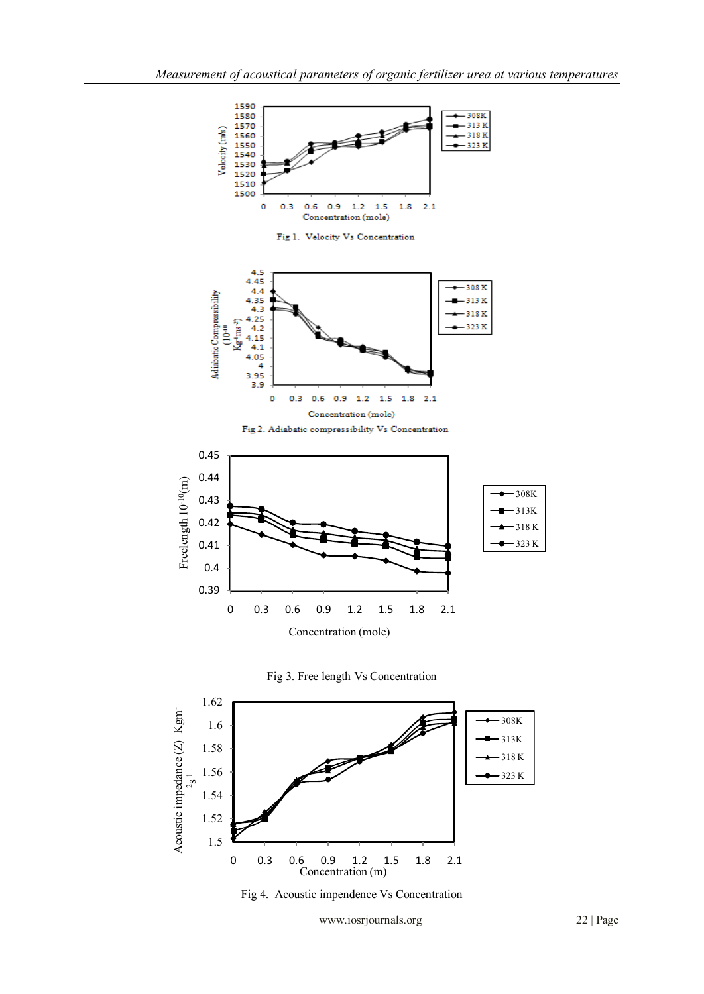

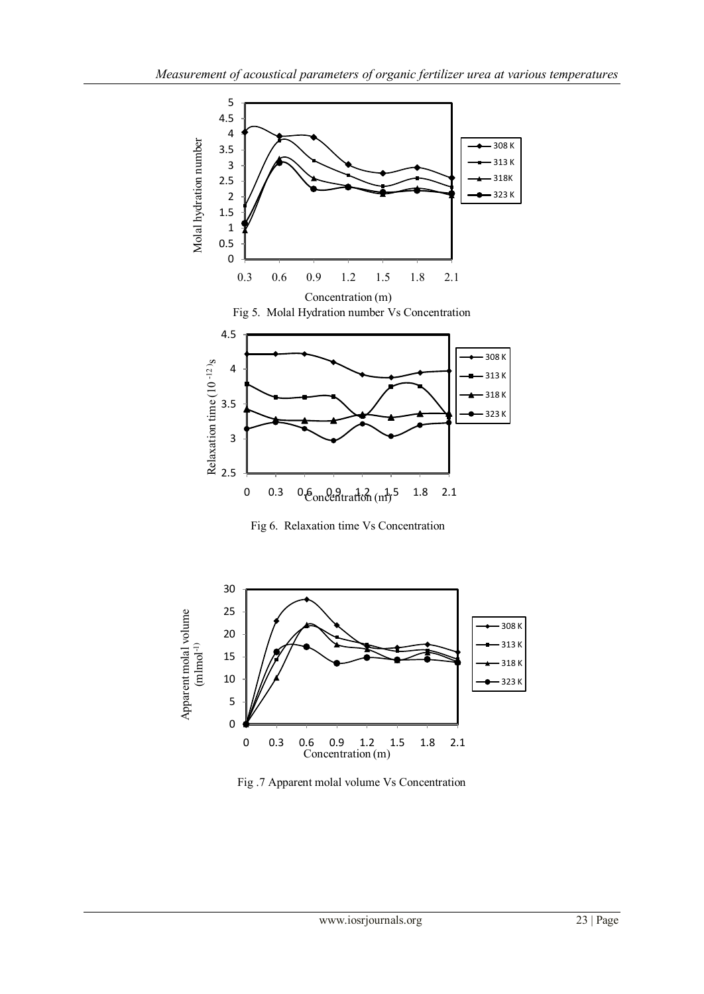

Fig 6. Relaxation time Vs Concentration



Fig .7 Apparent molal volume Vs Concentration